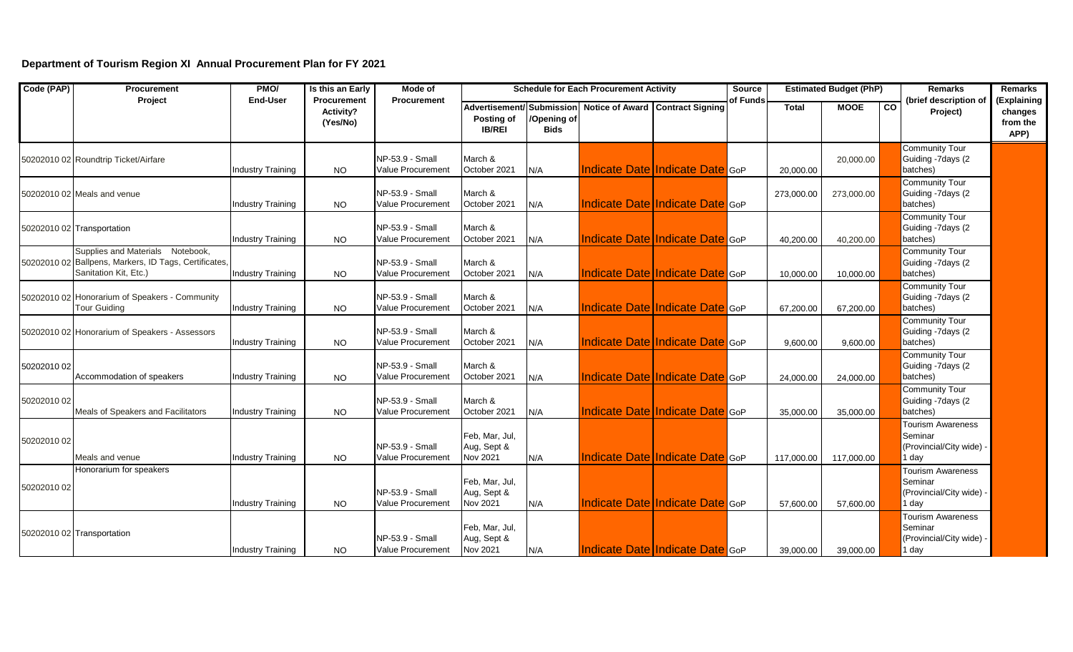## **Department of Tourism Region XI Annual Procurement Plan for FY 2021**

| Code (PAP)  | <b>Procurement</b>                                                                                                 | PMO/                     | Is this an Early                     | Mode of                                       |                                           |                            | <b>Schedule for Each Procurement Activity</b> |                                        | <b>Source</b> |              | <b>Estimated Budget (PhP)</b> |                | <b>Remarks</b>                                                           | <b>Remarks</b>                             |
|-------------|--------------------------------------------------------------------------------------------------------------------|--------------------------|--------------------------------------|-----------------------------------------------|-------------------------------------------|----------------------------|-----------------------------------------------|----------------------------------------|---------------|--------------|-------------------------------|----------------|--------------------------------------------------------------------------|--------------------------------------------|
|             | Project                                                                                                            | End-User                 | Procurement<br>Activity?<br>(Yes/No) | <b>Procurement</b>                            | Posting of<br><b>IB/REI</b>               | /Opening of<br><b>Bids</b> | Advertisement/Submission Notice of Award      | <b>Contract Signing</b>                | of Funds      | <b>Total</b> | <b>MOOE</b>                   | $\overline{c}$ | (brief description of<br>Project)                                        | (Explaining<br>changes<br>from the<br>APP) |
|             | 50202010 02 Roundtrip Ticket/Airfare                                                                               | <b>Industry Training</b> | <b>NO</b>                            | NP-53.9 - Small<br>Value Procurement          | March &<br>October 2021                   | N/A                        |                                               | <b>Indicate Date Indicate Date GOP</b> |               | 20,000.00    | 20,000.00                     |                | <b>Community Tour</b><br>Guiding -7days (2<br>batches)                   |                                            |
|             | 50202010 02 Meals and venue                                                                                        | <b>Industry Training</b> | <b>NO</b>                            | NP-53.9 - Small<br>Value Procurement          | March &<br>October 2021                   | N/A                        |                                               | <b>Indicate Date Indicate Date GoP</b> |               | 273,000.00   | 273,000.00                    |                | Community Tour<br>Guiding -7days (2<br>batches)                          |                                            |
|             | 50202010 02 Transportation                                                                                         | <b>Industry Training</b> | NO.                                  | NP-53.9 - Small<br><b>Value Procurement</b>   | March &<br>October 2021                   | N/A                        |                                               | <b>Indicate Date Indicate Date GOP</b> |               | 40,200.00    | 40,200.00                     |                | <b>Community Tour</b><br>Guiding -7days (2<br>batches)                   |                                            |
|             | Supplies and Materials Notebook,<br>50202010 02 Ballpens, Markers, ID Tags, Certificates,<br>Sanitation Kit, Etc.) | <b>Industry Training</b> | <b>NO</b>                            | NP-53.9 - Small<br>Value Procurement          | March &<br>October 2021                   | N/A                        |                                               | <b>Indicate Date Indicate Date GoP</b> |               | 10,000.00    | 10,000.00                     |                | <b>Community Tour</b><br>Guiding -7days (2<br>batches)                   |                                            |
|             | 50202010 02 Honorarium of Speakers - Community<br><b>Tour Guiding</b>                                              | <b>Industry Training</b> | <b>NO</b>                            | NP-53.9 - Small<br>Value Procurement          | March &<br>October 2021                   | N/A                        |                                               | <b>Indicate Date Indicate Date GOP</b> |               | 67,200.00    | 67,200.00                     |                | <b>Community Tour</b><br>Guiding -7days (2<br>batches)                   |                                            |
|             | 50202010 02 Honorarium of Speakers - Assessors                                                                     | <b>Industry Training</b> | <b>NO</b>                            | NP-53.9 - Small<br><b>Value Procurement</b>   | March &<br>October 2021                   | N/A                        |                                               | <b>Indicate Date Indicate Date GoP</b> |               | 9,600.00     | 9,600.00                      |                | <b>Community Tour</b><br>Guiding -7days (2<br>batches)                   |                                            |
| 50202010 02 | Accommodation of speakers                                                                                          | Industry Training        | <b>NO</b>                            | NP-53.9 - Small<br>Value Procurement          | March &<br>October 2021                   | N/A                        |                                               | Indicate Date Indicate Date GoP        |               | 24,000.00    | 24,000.00                     |                | <b>Community Tour</b><br>Guiding -7days (2<br>batches)                   |                                            |
| 50202010 02 | Meals of Speakers and Facilitators                                                                                 | <b>Industry Training</b> | <b>NO</b>                            | NP-53.9 - Small<br>Value Procurement          | March &<br>October 2021                   | N/A                        |                                               | <b>Indicate Date Indicate Date GOP</b> |               | 35,000.00    | 35,000.00                     |                | <b>Community Tour</b><br>Guiding -7days (2<br>batches)                   |                                            |
| 50202010 02 | Meals and venue                                                                                                    | <b>Industry Training</b> | <b>NO</b>                            | $NP-53.9 - Small$<br><b>Value Procurement</b> | Feb, Mar, Jul,<br>Aug, Sept &<br>Nov 2021 | N/A                        |                                               | <b>Indicate Date Indicate Date GOP</b> |               | 117,000.00   | 117,000.00                    |                | <b>Tourism Awareness</b><br>Seminar<br>(Provincial/City wide)<br>1 day   |                                            |
| 50202010 02 | Honorarium for speakers                                                                                            | <b>Industry Training</b> | <b>NO</b>                            | NP-53.9 - Small<br>Value Procurement          | Feb, Mar, Jul,<br>Aug, Sept &<br>Nov 2021 | N/A                        |                                               | <b>Indicate Date Indicate Date GOP</b> |               | 57.600.00    | 57.600.00                     |                | <b>Tourism Awareness</b><br>Seminar<br>(Provincial/City wide) -<br>1 dav |                                            |
|             | 50202010 02 Transportation                                                                                         | <b>Industry Training</b> | <b>NO</b>                            | NP-53.9 - Small<br><b>Value Procurement</b>   | Feb, Mar, Jul,<br>Aug, Sept &<br>Nov 2021 | N/A                        |                                               | Indicate Date Indicate Date GoP        |               | 39,000.00    | 39,000.00                     |                | <b>Tourism Awareness</b><br>Seminar<br>(Provincial/City wide)<br>1 day   |                                            |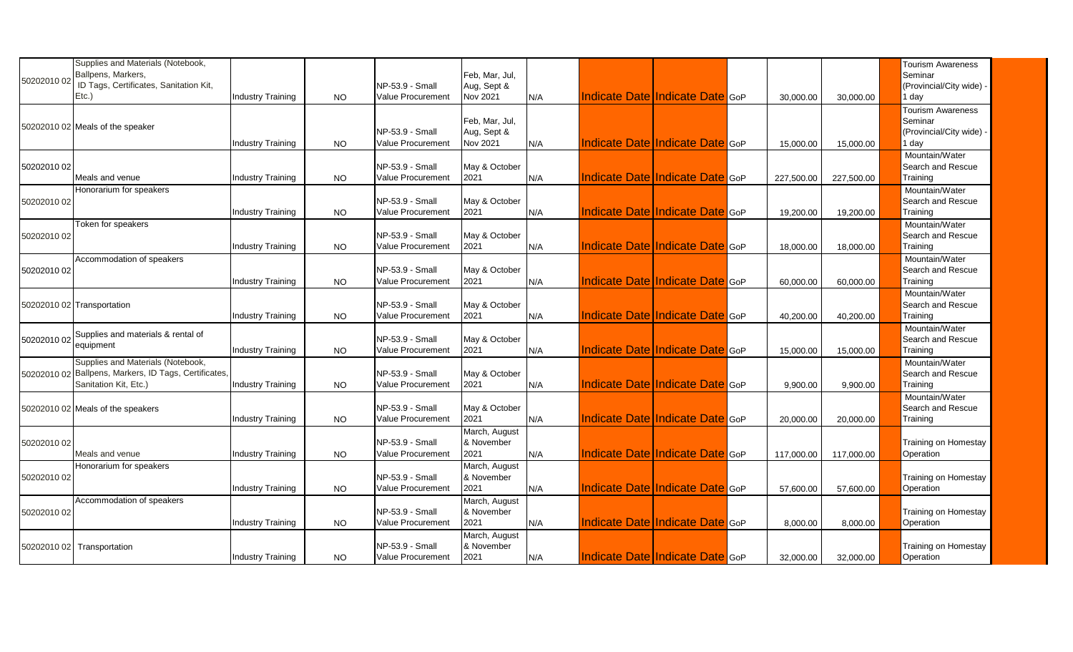| 50202010 02 | Supplies and Materials (Notebook,<br>Ballpens, Markers,<br>ID Tags, Certificates, Sanitation Kit,<br>Etc.)          | <b>Industry Training</b> | <b>NO</b> | NP-53.9 - Small<br>Value Procurement | Feb, Mar, Jul,<br>Aug, Sept &<br><b>Nov 2021</b> | N/A | <b>Indicate Date Indicate Date GoP</b> |  | 30,000.00  | 30,000.00  | <b>Tourism Awareness</b><br>Seminar<br>(Provincial/City wide)<br>l day |
|-------------|---------------------------------------------------------------------------------------------------------------------|--------------------------|-----------|--------------------------------------|--------------------------------------------------|-----|----------------------------------------|--|------------|------------|------------------------------------------------------------------------|
|             | 50202010 02 Meals of the speaker                                                                                    | <b>Industry Training</b> | NO.       | NP-53.9 - Small<br>Value Procurement | Feb, Mar, Jul,<br>Aug, Sept &<br><b>Nov 2021</b> | N/A | Indicate Date Indicate Date GoP        |  | 15,000.00  | 15,000.00  | <b>Tourism Awareness</b><br>Seminar<br>(Provincial/City wide)<br>I day |
| 50202010 02 | Meals and venue                                                                                                     | <b>Industry Training</b> | <b>NO</b> | NP-53.9 - Small<br>Value Procurement | May & October<br>2021                            | N/A | Indicate Date Indicate Date GoP        |  | 227,500.00 | 227,500.00 | Mountain/Water<br>Search and Rescue<br>Training                        |
| 50202010 02 | Honorarium for speakers                                                                                             | <b>Industry Training</b> | <b>NO</b> | NP-53.9 - Small<br>Value Procurement | May & October<br>2021                            | N/A | <b>Indicate Date Indicate Date GoP</b> |  | 19,200.00  | 19,200.00  | Mountain/Water<br>Search and Rescue<br>Training                        |
| 50202010 02 | Token for speakers                                                                                                  | <b>Industry Training</b> | <b>NO</b> | NP-53.9 - Small<br>Value Procurement | May & October<br>2021                            | N/A | Indicate Date Indicate Date GoP        |  | 18,000.00  | 18,000.00  | Mountain/Water<br>Search and Rescue<br>Training                        |
| 50202010 02 | Accommodation of speakers                                                                                           | <b>Industry Training</b> | <b>NO</b> | NP-53.9 - Small<br>Value Procurement | May & October<br>2021                            | N/A | <b>Indicate Date Indicate Date GOP</b> |  | 60,000.00  | 60,000.00  | Mountain/Water<br>Search and Rescue<br>Training                        |
|             | 50202010 02 Transportation                                                                                          | <b>Industry Training</b> | NO.       | NP-53.9 - Small<br>Value Procurement | May & October<br>2021                            | N/A | Indicate Date Indicate Date GoP        |  | 40,200.00  | 40,200.00  | Mountain/Water<br>Search and Rescue<br>Training                        |
|             | 50202010 02 Supplies and materials & rental of<br>equipment                                                         | <b>Industry Training</b> | NO.       | NP-53.9 - Small<br>Value Procurement | May & October<br>2021                            | N/A | Indicate Date Indicate Date GoP        |  | 15,000.00  | 15,000.00  | Mountain/Water<br>Search and Rescue<br>Training                        |
|             | Supplies and Materials (Notebook,<br>50202010 02 Ballpens, Markers, ID Tags, Certificates,<br>Sanitation Kit, Etc.) | Industry Training        | <b>NO</b> | NP-53.9 - Small<br>Value Procurement | May & October<br>2021                            | N/A | Indicate Date Indicate Date GoP        |  | 9,900.00   | 9,900.00   | Mountain/Water<br>Search and Rescue<br>Training                        |
|             | 50202010 02 Meals of the speakers                                                                                   | <b>Industry Training</b> | <b>NO</b> | NP-53.9 - Small<br>Value Procurement | May & October<br>2021                            | N/A | <b>Indicate Date Indicate Date GOP</b> |  | 20,000.00  | 20,000.00  | Mountain/Water<br>Search and Rescue<br>Training                        |
| 50202010 02 | Meals and venue                                                                                                     | <b>Industry Training</b> | NO.       | NP-53.9 - Small<br>Value Procurement | March, August<br>& November<br>2021              | N/A | <b>Indicate Date Indicate Date GOP</b> |  | 117,000.00 | 117,000.00 | Training on Homestay<br>Operation                                      |
| 50202010 02 | Honorarium for speakers                                                                                             | <b>Industry Training</b> | <b>NO</b> | NP-53.9 - Small<br>Value Procurement | March, August<br>& November<br>2021              | N/A | Indicate Date Indicate Date GoP        |  | 57,600.00  | 57,600.00  | Training on Homestay<br>Operation                                      |
| 50202010 02 | Accommodation of speakers                                                                                           | Industry Training        | <b>NO</b> | NP-53.9 - Small<br>Value Procurement | March, August<br>& November<br>2021              | N/A | <b>Indicate Date Indicate Date GoP</b> |  | 8,000.00   | 8,000.00   | Training on Homestay<br>Operation                                      |
|             | 50202010 02 Transportation                                                                                          | <b>Industry Training</b> | <b>NO</b> | NP-53.9 - Small<br>Value Procurement | March, August<br>& November<br>2021              | N/A | Indicate Date Indicate Date GoP        |  | 32,000.00  | 32,000.00  | Training on Homestay<br>Operation                                      |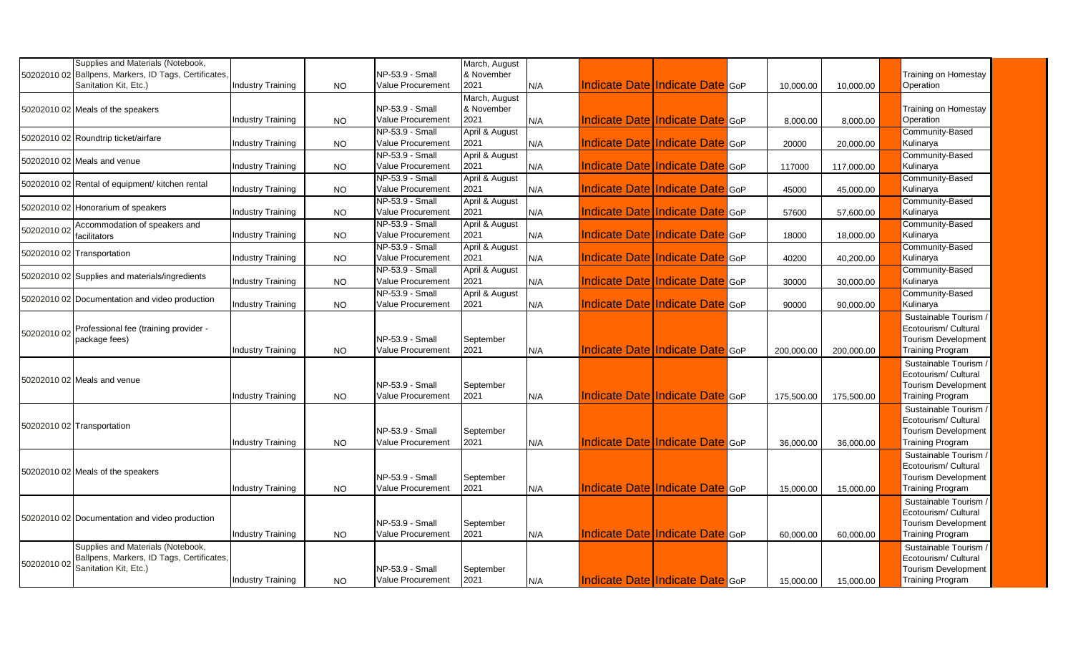|             | Supplies and Materials (Notebook,                                  |                          |           |                                             | March, August          |      |                                 |                                        |            |            |                                                       |
|-------------|--------------------------------------------------------------------|--------------------------|-----------|---------------------------------------------|------------------------|------|---------------------------------|----------------------------------------|------------|------------|-------------------------------------------------------|
|             | 50202010 02 Ballpens, Markers, ID Tags, Certificates,              |                          |           | NP-53.9 - Small                             | & November             |      |                                 |                                        |            |            | Training on Homestay                                  |
|             | Sanitation Kit, Etc.)                                              | <b>Industry Training</b> | <b>NO</b> | Value Procurement                           | 2021                   | N/A  | Indicate Date Indicate Date GoP |                                        | 10,000.00  | 10,000.00  | Operation                                             |
|             |                                                                    |                          |           |                                             | March, August          |      |                                 |                                        |            |            |                                                       |
|             | 50202010 02 Meals of the speakers                                  |                          |           | NP-53.9 - Small<br><b>Value Procurement</b> | & November<br>2021     |      |                                 | Indicate Date Indicate Date GoP        |            |            | Training on Homestay                                  |
|             |                                                                    | Industry Training        | NO.       | NP-53.9 - Small                             |                        | N/A  |                                 |                                        | 8,000.00   | 8,000.00   | Operation                                             |
|             | 50202010 02 Roundtrip ticket/airfare                               | <b>Industry Training</b> | <b>NO</b> | <b>Value Procurement</b>                    | April & August<br>2021 | IN/A |                                 | Indicate Date Indicate Date GoP        | 20000      |            | Community-Based<br>Kulinarya                          |
|             |                                                                    |                          |           | NP-53.9 - Small                             | April & August         |      |                                 |                                        |            | 20,000.00  | Community-Based                                       |
|             | 50202010 02 Meals and venue                                        | Industry Training        | NO.       | <b>Value Procurement</b>                    | 2021                   | N/A  |                                 | Indicate Date Indicate Date GoP        | 117000     | 117,000.00 | Kulinarya                                             |
|             |                                                                    |                          |           | NP-53.9 - Small                             | April & August         |      |                                 |                                        |            |            | Community-Based                                       |
|             | 50202010 02 Rental of equipment/ kitchen rental                    | <b>Industry Training</b> | <b>NO</b> | Value Procurement                           | 2021                   | N/A  |                                 | Indicate Date Indicate Date GoP        | 45000      | 45,000.00  | Kulinarya                                             |
|             |                                                                    |                          |           | NP-53.9 - Small                             | April & August         |      |                                 |                                        |            |            | Community-Based                                       |
|             | 50202010 02 Honorarium of speakers                                 | Industry Training        | <b>NO</b> | Value Procurement                           | 2021                   | N/A  | Indicate Date Indicate Date GoP |                                        | 57600      | 57,600.00  | Kulinarya                                             |
|             | Accommodation of speakers and                                      |                          |           | NP-53.9 - Small                             | April & August         |      |                                 |                                        |            |            | <b>Community-Based</b>                                |
| 50202010 02 | facilitators                                                       | <b>Industry Training</b> | <b>NO</b> | <b>Value Procurement</b>                    | 2021                   | N/A  |                                 | Indicate Date Indicate Date GoP        | 18000      | 18,000.00  | Kulinarya                                             |
|             |                                                                    |                          |           | NP-53.9 - Small                             | April & August         |      |                                 |                                        |            |            | Community-Based                                       |
|             | 50202010 02 Transportation                                         | <b>Industry Training</b> | <b>NO</b> | Value Procurement                           | 2021                   | N/A  |                                 | Indicate Date Indicate Date GoP        | 40200      | 40,200.00  | Kulinarya                                             |
|             | 50202010 02 Supplies and materials/ingredients                     |                          |           | NP-53.9 - Small                             | April & August         |      |                                 |                                        |            |            | Community-Based                                       |
|             |                                                                    | <b>Industry Training</b> | NO.       | <b>Value Procurement</b>                    | 2021                   | N/A  |                                 | Indicate Date Indicate Date GoP        | 30000      | 30,000.00  | Kulinarya                                             |
|             | 50202010 02 Documentation and video production                     |                          |           | NP-53.9 - Small                             | April & August         |      |                                 |                                        |            |            | Community-Based                                       |
|             |                                                                    | Industry Training        | <b>NO</b> | Value Procurement                           | 2021                   | N/A  |                                 | Indicate Date Indicate Date GoP        | 90000      | 90,000.00  | Kulinarya                                             |
|             |                                                                    |                          |           |                                             |                        |      |                                 |                                        |            |            | Sustainable Tourism                                   |
| 50202010 02 | Professional fee (training provider -                              |                          |           |                                             |                        |      |                                 |                                        |            |            | Ecotourism/ Cultural                                  |
|             | package fees)                                                      |                          |           | NP-53.9 - Small<br><b>Value Procurement</b> | September<br>2021      |      |                                 | Indicate Date Indicate Date GoP        |            |            | <b>Tourism Development</b><br><b>Training Program</b> |
|             |                                                                    | <b>Industry Training</b> | NO.       |                                             |                        | N/A  |                                 |                                        | 200,000.00 | 200,000.00 |                                                       |
|             |                                                                    |                          |           |                                             |                        |      |                                 |                                        |            |            | Sustainable Tourism<br>Ecotourism/ Cultural           |
|             | 50202010 02 Meals and venue                                        |                          |           | NP-53.9 - Small                             | September              |      |                                 |                                        |            |            | <b>Tourism Development</b>                            |
|             |                                                                    | <b>Industry Training</b> | NO.       | Value Procurement                           | 2021                   | N/A  |                                 | <b>Indicate Date Indicate Date GoP</b> | 175,500.00 | 175,500.00 | <b>Training Program</b>                               |
|             |                                                                    |                          |           |                                             |                        |      |                                 |                                        |            |            | Sustainable Tourism /                                 |
|             |                                                                    |                          |           |                                             |                        |      |                                 |                                        |            |            | Ecotourism/ Cultural                                  |
|             | 50202010 02 Transportation                                         |                          |           | NP-53.9 - Small                             | September              |      |                                 |                                        |            |            | Tourism Development                                   |
|             |                                                                    | <b>Industry Training</b> | NO.       | Value Procurement                           | 2021                   | N/A  | Indicate Date Indicate Date GoP |                                        | 36,000.00  | 36,000.00  | <b>Training Program</b>                               |
|             |                                                                    |                          |           |                                             |                        |      |                                 |                                        |            |            | Sustainable Tourism                                   |
|             |                                                                    |                          |           |                                             |                        |      |                                 |                                        |            |            | Ecotourism/ Cultural                                  |
|             | 50202010 02 Meals of the speakers                                  |                          |           | NP-53.9 - Small                             | September              |      |                                 |                                        |            |            | <b>Tourism Development</b>                            |
|             |                                                                    | <b>Industry Training</b> | NO.       | Value Procurement                           | 2021                   | N/A  |                                 | Indicate Date Indicate Date GoP        | 15,000.00  | 15,000.00  | <b>Training Program</b>                               |
|             |                                                                    |                          |           |                                             |                        |      |                                 |                                        |            |            | Sustainable Tourism /                                 |
|             | 50202010 02 Documentation and video production                     |                          |           |                                             |                        |      |                                 |                                        |            |            | Ecotourism/ Cultural                                  |
|             |                                                                    |                          |           | NP-53.9 - Small                             | September              |      |                                 |                                        |            |            | Tourism Development                                   |
|             |                                                                    | <b>Industry Training</b> | NO.       | Value Procurement                           | 2021                   | N/A  |                                 | Indicate Date Indicate Date GoP        | 60,000.00  | 60,000.00  | <b>Training Program</b>                               |
|             | Supplies and Materials (Notebook,                                  |                          |           |                                             |                        |      |                                 |                                        |            |            | Sustainable Tourism /                                 |
| 50202010 02 | Ballpens, Markers, ID Tags, Certificates,<br>Sanitation Kit, Etc.) |                          |           | NP-53.9 - Small                             |                        |      |                                 |                                        |            |            | Ecotourism/ Cultural                                  |
|             |                                                                    | <b>Industry Training</b> | NO        | Value Procurement                           | September<br>2021      | N/A  | Indicate Date Indicate Date GoP |                                        | 15.000.00  | 15.000.00  | <b>Tourism Development</b><br><b>Training Program</b> |
|             |                                                                    |                          |           |                                             |                        |      |                                 |                                        |            |            |                                                       |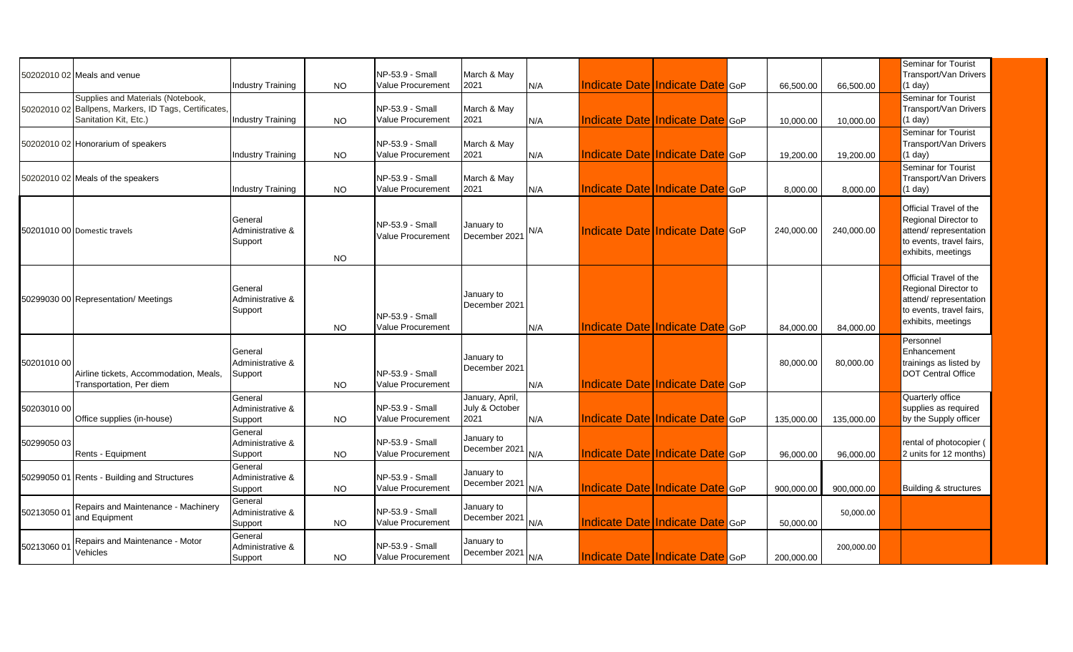|             | 50202010 02 Meals and venue                                                                                         | <b>Industry Training</b>               | NO.       | NP-53.9 - Small<br>Value Procurement | March & May<br>2021                       | N/A | Indicate Date Indicate Date GoP        |  | 66.500.00  | 66,500.00  | Seminar for Tourist<br>Transport/Van Drivers<br>(1 day)                                                                   |
|-------------|---------------------------------------------------------------------------------------------------------------------|----------------------------------------|-----------|--------------------------------------|-------------------------------------------|-----|----------------------------------------|--|------------|------------|---------------------------------------------------------------------------------------------------------------------------|
|             | Supplies and Materials (Notebook,<br>50202010 02 Ballpens, Markers, ID Tags, Certificates,<br>Sanitation Kit, Etc.) | <b>Industry Training</b>               | <b>NO</b> | NP-53.9 - Small<br>Value Procurement | March & May<br>2021                       | N/A | Indicate Date Indicate Date GoP        |  | 10,000.00  | 10,000.00  | Seminar for Tourist<br>Transport/Van Drivers<br>(1 day)                                                                   |
|             | 50202010 02 Honorarium of speakers                                                                                  | <b>Industry Training</b>               | <b>NO</b> | NP-53.9 - Small<br>Value Procurement | March & May<br>2021                       | N/A | <b>Indicate Date Indicate Date GOP</b> |  | 19,200.00  | 19,200.00  | Seminar for Tourist<br>Transport/Van Drivers<br>(1 day)                                                                   |
|             | 50202010 02 Meals of the speakers                                                                                   | Industry Training                      | NO.       | NP-53.9 - Small<br>Value Procurement | March & May<br>2021                       | N/A | Indicate Date Indicate Date GoP        |  | 8,000.00   | 8,000.00   | Seminar for Tourist<br>Transport/Van Drivers<br>$(1$ day)                                                                 |
|             | 50201010 00 Domestic travels                                                                                        | General<br>Administrative &<br>Support | <b>NO</b> | NP-53.9 - Small<br>Value Procurement | January to<br>December 2021               | N/A | Indicate Date Indicate Date GoP        |  | 240.000.00 | 240.000.00 | Official Travel of the<br>Regional Director to<br>attend/representation<br>to events, travel fairs,<br>exhibits, meetings |
|             | 50299030 00 Representation/ Meetings                                                                                | General<br>Administrative &<br>Support | NO.       | NP-53.9 - Small<br>Value Procurement | January to<br>December 2021               | N/A | Indicate Date Indicate Date GoP        |  | 84,000.00  | 84,000.00  | Official Travel of the<br>Regional Director to<br>attend/representation<br>to events, travel fairs,<br>exhibits, meetings |
| 50201010 00 | Airline tickets, Accommodation, Meals,<br>Transportation, Per diem                                                  | General<br>Administrative &<br>Support | <b>NO</b> | NP-53.9 - Small<br>Value Procurement | January to<br>December 2021               | N/A | <b>Indicate Date Indicate Date GOP</b> |  | 80,000.00  | 80,000.00  | Personnel<br>Enhancement<br>trainings as listed by<br><b>DOT Central Office</b>                                           |
| 50203010 00 | Office supplies (in-house)                                                                                          | General<br>Administrative &<br>Support | <b>NO</b> | NP-53.9 - Small<br>Value Procurement | January, April,<br>July & October<br>2021 | N/A | Indicate Date Indicate Date GoP        |  | 135,000.00 | 135,000.00 | Quarterly office<br>supplies as required<br>by the Supply officer                                                         |
| 50299050 03 | Rents - Equipment                                                                                                   | General<br>Administrative &<br>Support | NO.       | NP-53.9 - Small<br>Value Procurement | January to<br>December 2021 $N/A$         |     | <b>Indicate Date Indicate Date GOP</b> |  | 96,000.00  | 96,000.00  | rental of photocopier (<br>2 units for 12 months)                                                                         |
|             | 50299050 01 Rents - Building and Structures                                                                         | General<br>Administrative &<br>Support | <b>NO</b> | NP-53.9 - Small<br>Value Procurement | January to<br>December 2021               | N/A | <b>Indicate Date Indicate Date GOP</b> |  | 900,000.00 | 900,000.00 | Building & structures                                                                                                     |
| 50213050 0  | Repairs and Maintenance - Machinery<br>and Equipment                                                                | General<br>Administrative &<br>Support | NO.       | NP-53.9 - Small<br>Value Procurement | January to<br>December 2021               | N/A | <b>Indicate Date Indicate Date GOP</b> |  | 50.000.00  | 50,000.00  |                                                                                                                           |
| 50213060 01 | Repairs and Maintenance - Motor<br>Vehicles                                                                         | General<br>Administrative &<br>Support | NO.       | NP-53.9 - Small<br>Value Procurement | January to<br>December 2021 N/A           |     | Indicate Date Indicate Date GoP        |  | 200,000.00 | 200,000.00 |                                                                                                                           |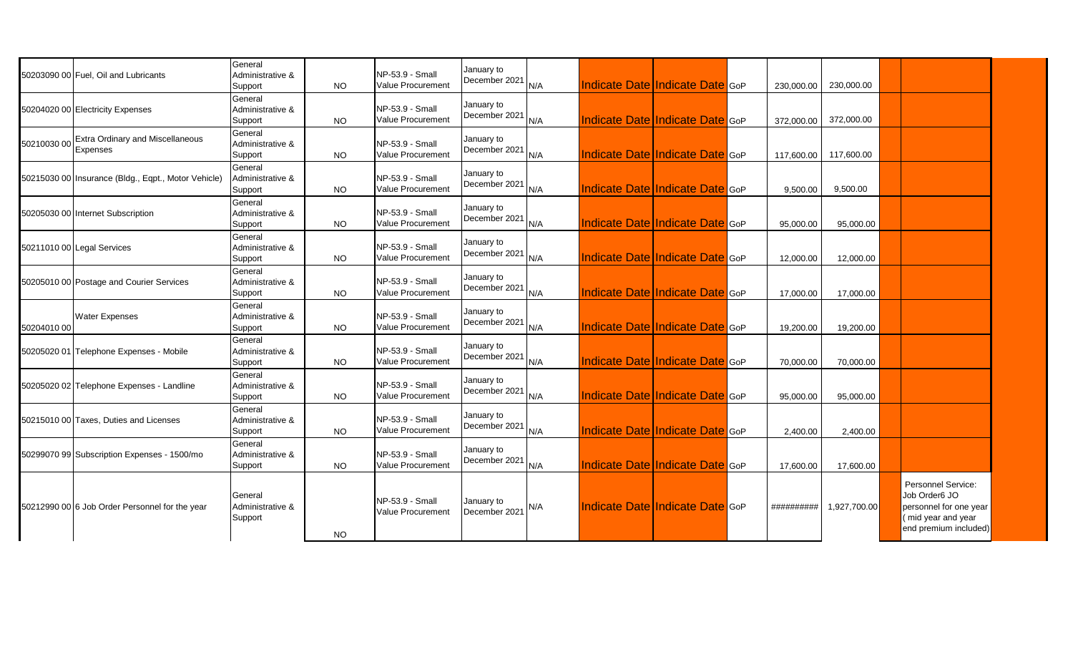|             | 50203090 00 Fuel. Oil and Lubricants                | General<br>Administrative &<br>Support | <b>NO</b> | NP-53.9 - Small<br>Value Procurement        | January to<br>December 2021 | N/A | Indicate Date Indicate Date GoP        |                                        | 230.000.00   | 230,000.00   |                                                                                                              |
|-------------|-----------------------------------------------------|----------------------------------------|-----------|---------------------------------------------|-----------------------------|-----|----------------------------------------|----------------------------------------|--------------|--------------|--------------------------------------------------------------------------------------------------------------|
|             | 50204020 00 Electricity Expenses                    | General<br>Administrative &<br>Support | <b>NO</b> | NP-53.9 - Small<br><b>Value Procurement</b> | January to<br>December 2021 | N/A |                                        | <b>Indicate Date Indicate Date GOP</b> | 372.000.00   | 372,000.00   |                                                                                                              |
| 50210030 00 | <b>Extra Ordinary and Miscellaneous</b><br>Expenses | General<br>Administrative &<br>Support | <b>NO</b> | NP-53.9 - Small<br>Value Procurement        | January to<br>December 2021 | N/A |                                        | <b>Indicate Date Indicate Date GoP</b> | 117,600.00   | 117,600.00   |                                                                                                              |
|             | 50215030 00 Insurance (Bldg., Eqpt., Motor Vehicle) | General<br>Administrative &<br>Support | <b>NO</b> | NP-53.9 - Small<br>Value Procurement        | January to<br>December 2021 | N/A |                                        | <b>Indicate Date Indicate Date GoP</b> | 9.500.00     | 9,500.00     |                                                                                                              |
|             | 50205030 00 Internet Subscription                   | General<br>Administrative &<br>Support | NO.       | NP-53.9 - Small<br>Value Procurement        | January to<br>December 2021 | N/A | Indicate Date Indicate Date GoP        |                                        | 95,000.00    | 95,000.00    |                                                                                                              |
|             | 50211010 00 Legal Services                          | General<br>Administrative &<br>Support | <b>NO</b> | NP-53.9 - Small<br>Value Procurement        | January to<br>December 2021 | N/A |                                        | <b>Indicate Date Indicate Date GOP</b> | 12,000.00    | 12,000.00    |                                                                                                              |
|             | 50205010 00 Postage and Courier Services            | General<br>Administrative &<br>Support | <b>NO</b> | NP-53.9 - Small<br>Value Procurement        | January to<br>December 2021 | N/A |                                        | <b>Indicate Date Indicate Date GOP</b> | 17,000.00    | 17,000.00    |                                                                                                              |
| 50204010 00 | <b>Water Expenses</b>                               | General<br>Administrative &<br>Support | <b>NO</b> | NP-53.9 - Small<br>Value Procurement        | January to<br>December 2021 | N/A | <b>Indicate Date Indicate Date GOP</b> |                                        | 19,200.00    | 19,200.00    |                                                                                                              |
|             | 50205020 01 Telephone Expenses - Mobile             | General<br>Administrative &<br>Support | <b>NO</b> | NP-53.9 - Small<br>Value Procurement        | January to<br>December 2021 | N/A |                                        | <b>Indicate Date Indicate Date GOP</b> | 70,000.00    | 70,000.00    |                                                                                                              |
|             | 50205020 02 Telephone Expenses - Landline           | General<br>Administrative &<br>Support | <b>NO</b> | NP-53.9 - Small<br>Value Procurement        | January to<br>December 2021 | N/A |                                        | <b>Indicate Date Indicate Date GoP</b> | 95.000.00    | 95,000.00    |                                                                                                              |
|             | 50215010 00 Taxes, Duties and Licenses              | General<br>Administrative &<br>Support | <b>NO</b> | NP-53.9 - Small<br>Value Procurement        | January to<br>December 2021 | N/A | <b>Indicate Date Indicate Date GOP</b> |                                        | 2,400.00     | 2,400.00     |                                                                                                              |
|             | 50299070 99 Subscription Expenses - 1500/mo         | General<br>Administrative &<br>Support | <b>NO</b> | NP-53.9 - Small<br><b>Value Procurement</b> | January to<br>December 2021 | N/A |                                        | <b>Indicate Date Indicate Date GOP</b> | 17.600.00    | 17,600.00    |                                                                                                              |
|             | 50212990 00 6 Job Order Personnel for the year      | General<br>Administrative &<br>Support | <b>NO</b> | NP-53.9 - Small<br>Value Procurement        | January to<br>December 2021 | N/A | <b>Indicate Date Indicate Date GoP</b> |                                        | ########## I | 1,927,700.00 | Personnel Service:<br>Job Order6 JO<br>personnel for one year<br>(mid year and year<br>end premium included) |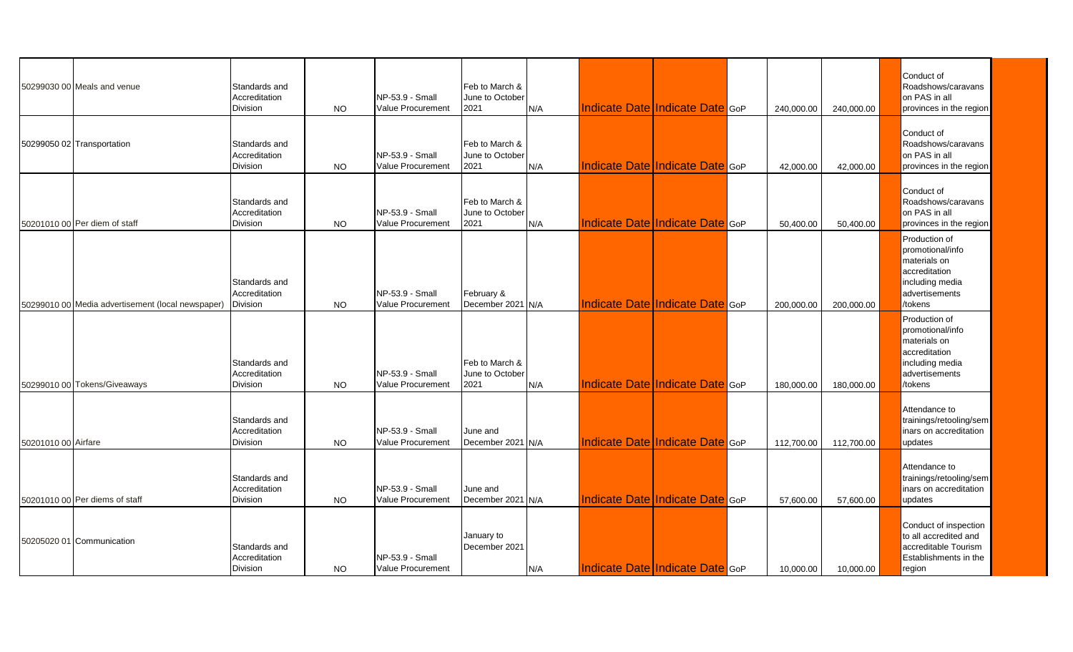|                     | 50299030 00 Meals and venue                       | Standards and<br>Accreditation<br><b>Division</b> | NO.       | NP-53.9 - Small<br>Value Procurement        | Feb to March &<br>June to October<br>2021 | IN/A | <b>Indicate Date Indicate Date GOP</b> | 240,000.00 | 240,000.00 | Conduct of<br>Roadshows/caravans<br>on PAS in all<br>provinces in the region                                      |
|---------------------|---------------------------------------------------|---------------------------------------------------|-----------|---------------------------------------------|-------------------------------------------|------|----------------------------------------|------------|------------|-------------------------------------------------------------------------------------------------------------------|
|                     | 50299050 02 Transportation                        | Standards and<br>Accreditation<br>Division        | <b>NO</b> | NP-53.9 - Small<br>Value Procurement        | Feb to March &<br>June to October<br>2021 | N/A  | Indicate Date Indicate Date GoP        | 42,000.00  | 42,000.00  | Conduct of<br>Roadshows/caravans<br>on PAS in all<br>provinces in the region                                      |
|                     | 50201010 00 Per diem of staff                     | Standards and<br>Accreditation<br>Division        | <b>NO</b> | NP-53.9 - Small<br>Value Procurement        | Feb to March &<br>June to October<br>2021 | N/A  | <b>Indicate Date Indicate Date GOP</b> | 50,400.00  | 50,400.00  | Conduct of<br>Roadshows/caravans<br>on PAS in all<br>provinces in the region                                      |
|                     | 50299010 00 Media advertisement (local newspaper) | Standards and<br>Accreditation<br><b>Division</b> | <b>NO</b> | NP-53.9 - Small<br><b>Value Procurement</b> | February &<br>December 2021 N/A           |      | Indicate Date Indicate Date GoP        | 200.000.00 | 200,000.00 | Production of<br>promotional/info<br>materials on<br>accreditation<br>including media<br>advertisements<br>tokens |
|                     | 50299010 00 Tokens/Giveaways                      | Standards and<br>Accreditation<br><b>Division</b> | <b>NO</b> | NP-53.9 - Small<br>Value Procurement        | Feb to March &<br>June to October<br>2021 | N/A  | <b>Indicate Date Indicate Date GOP</b> | 180,000.00 | 180,000.00 | Production of<br>promotional/info<br>materials on<br>accreditation<br>including media<br>advertisements<br>tokens |
| 50201010 00 Airfare |                                                   | Standards and<br>Accreditation<br><b>Division</b> | <b>NO</b> | NP-53.9 - Small<br><b>Value Procurement</b> | June and<br>December 2021 N/A             |      | Indicate Date Indicate Date GoP        | 112,700.00 | 112,700.00 | Attendance to<br>trainings/retooling/sem<br>nars on accreditation<br>updates                                      |
|                     | 50201010 00 Per diems of staff                    | Standards and<br>Accreditation<br><b>Division</b> | <b>NO</b> | NP-53.9 - Small<br>Value Procurement        | June and<br>December 2021 N/A             |      | <b>Indicate Date Indicate Date GOP</b> | 57,600.00  | 57,600.00  | Attendance to<br>trainings/retooling/sem<br>inars on accreditation<br>updates                                     |
|                     | 50205020 01 Communication                         | Standards and<br>Accreditation<br>Division        | NO.       | NP-53.9 - Small<br>Value Procurement        | January to<br>December 2021               | N/A  | Indicate Date Indicate Date GoP        | 10,000.00  | 10,000.00  | Conduct of inspection<br>to all accredited and<br>accreditable Tourism<br>Establishments in the<br>region         |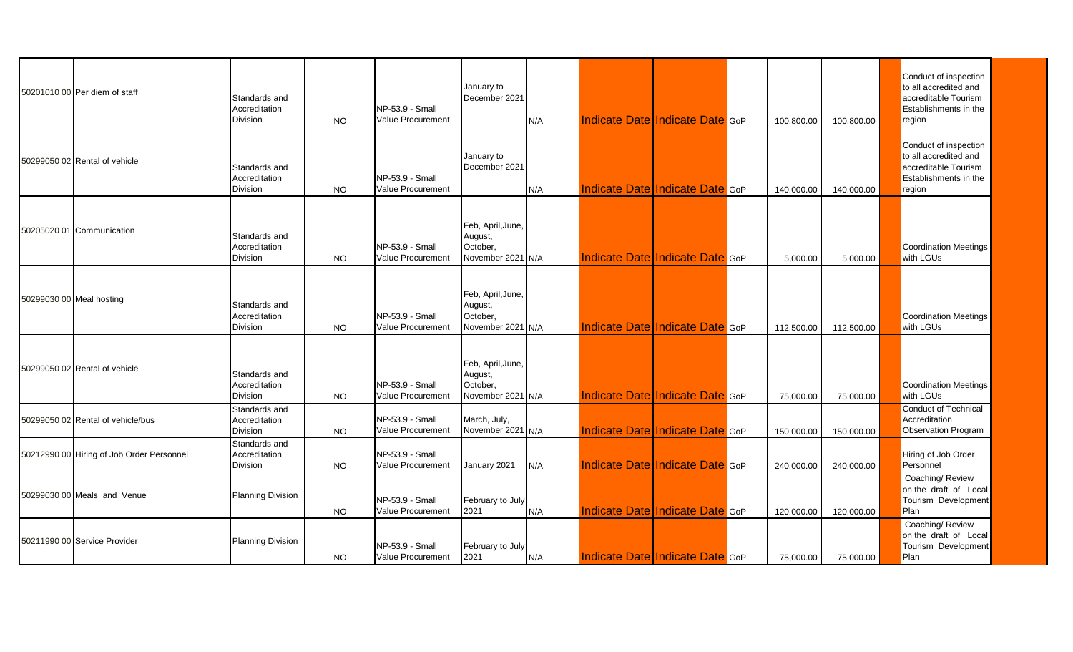|                          | 50201010 00 Per diem of staff             | Standards and<br>Accreditation<br>Division | <b>NO</b> | NP-53.9 - Small<br>Value Procurement | January to<br>December 2021                                   | N/A |                                 | Indicate Date Indicate Date GoP | 100,800.00 | 100,800.00 | Conduct of inspection<br>to all accredited and<br>accreditable Tourism<br>Establishments in the<br>region |
|--------------------------|-------------------------------------------|--------------------------------------------|-----------|--------------------------------------|---------------------------------------------------------------|-----|---------------------------------|---------------------------------|------------|------------|-----------------------------------------------------------------------------------------------------------|
|                          | 50299050 02 Rental of vehicle             | Standards and<br>Accreditation<br>Division | <b>NO</b> | NP-53.9 - Small<br>Value Procurement | January to<br>December 2021                                   | N/A | Indicate Date Indicate Date GoP |                                 | 140.000.00 | 140,000.00 | Conduct of inspection<br>to all accredited and<br>accreditable Tourism<br>Establishments in the<br>region |
|                          | 50205020 01 Communication                 | Standards and<br>Accreditation<br>Division | <b>NO</b> | NP-53.9 - Small<br>Value Procurement | Feb, April, June,<br>August,<br>October,<br>November 2021 N/A |     | Indicate Date Indicate Date GoP |                                 | 5,000.00   | 5,000.00   | <b>Coordination Meetings</b><br>with LGUs                                                                 |
| 50299030 00 Meal hosting |                                           | Standards and<br>Accreditation<br>Division | <b>NO</b> | NP-53.9 - Small<br>Value Procurement | Feb, April, June,<br>August,<br>October,<br>November 2021 N/A |     | Indicate Date Indicate Date GoP |                                 | 112.500.00 | 112,500.00 | <b>Coordination Meetings</b><br>with LGUs                                                                 |
|                          | 50299050 02 Rental of vehicle             | Standards and<br>Accreditation<br>Division | <b>NO</b> | NP-53.9 - Small<br>Value Procurement | Feb, April, June,<br>August,<br>October.<br>November 2021 N/A |     |                                 | Indicate Date Indicate Date GoP | 75,000.00  | 75,000.00  | <b>Coordination Meetings</b><br>with LGUs                                                                 |
|                          | 50299050 02 Rental of vehicle/bus         | Standards and<br>Accreditation<br>Division | <b>NO</b> | NP-53.9 - Small<br>Value Procurement | March, July,<br>November 2021 N/A                             |     |                                 | Indicate Date Indicate Date GoP | 150,000.00 | 150,000.00 | <b>Conduct of Technical</b><br>Accreditation<br>Observation Program                                       |
|                          | 50212990 00 Hiring of Job Order Personnel | Standards and<br>Accreditation<br>Division | <b>NO</b> | NP-53.9 - Small<br>Value Procurement | January 2021                                                  | N/A |                                 | Indicate Date Indicate Date GoP | 240,000.00 | 240,000.00 | Hiring of Job Order<br>Personnel                                                                          |
|                          | 50299030 00 Meals and Venue               | <b>Planning Division</b>                   | <b>NO</b> | NP-53.9 - Small<br>Value Procurement | February to July<br>2021                                      | N/A |                                 | Indicate Date Indicate Date GoP | 120,000.00 | 120,000.00 | Coaching/ Review<br>on the draft of Local<br>Tourism Development<br>Plan                                  |
|                          | 50211990 00 Service Provider              | <b>Planning Division</b>                   | NO.       | NP-53.9 - Small<br>Value Procurement | February to July<br>2021                                      | N/A | Indicate Date Indicate Date GoP |                                 | 75,000.00  | 75,000.00  | Coaching/ Review<br>on the draft of Local<br>Tourism Development<br>Plan                                  |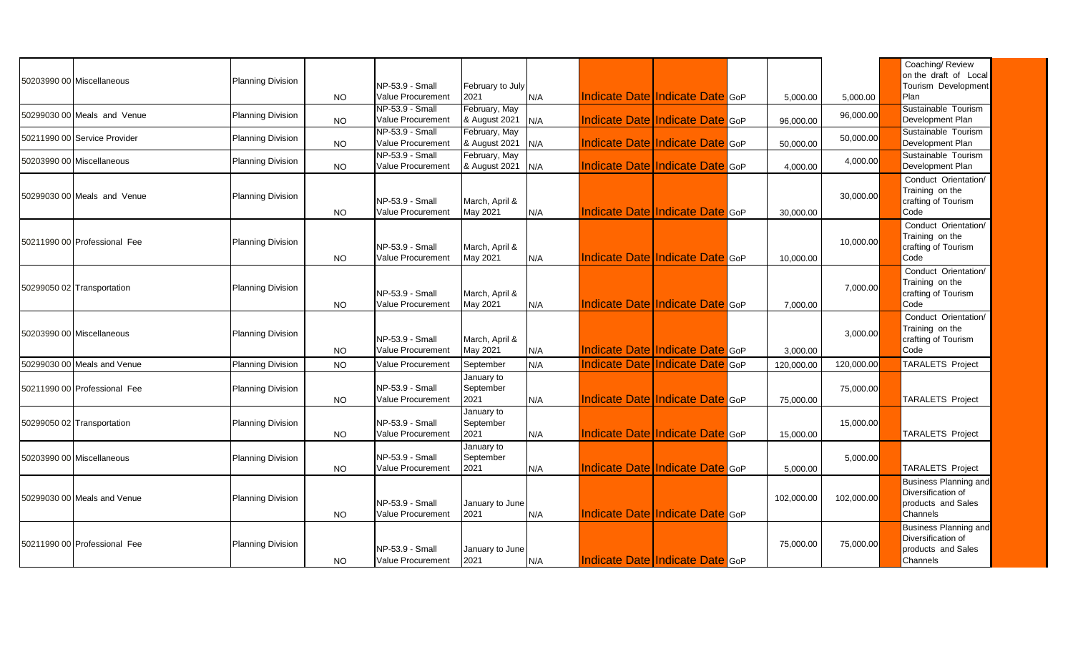| 50203990 00 Miscellaneous    | Planning Division        | <b>NO</b> | NP-53.9 - Small<br><b>Value Procurement</b> | February to July<br>2021        | N/A | Indicate Date Indicate Date GoP        |     | 5.000.00   | 5,000.00   | Coaching/ Review<br>on the draft of Local<br>Tourism Development<br>Plan             |
|------------------------------|--------------------------|-----------|---------------------------------------------|---------------------------------|-----|----------------------------------------|-----|------------|------------|--------------------------------------------------------------------------------------|
| 50299030 00 Meals and Venue  | <b>Planning Division</b> | <b>NO</b> | NP-53.9 - Small<br>Value Procurement        | February, May<br>& August 2021  | N/A | Indicate Date Indicate Date GoP        |     | 96,000.00  | 96,000.00  | Sustainable Tourism<br>Development Plan                                              |
| 50211990 00 Service Provider | Planning Division        | <b>NO</b> | NP-53.9 - Small<br>Value Procurement        | February, May<br>& August 2021  | N/A | Indicate Date Indicate Date GoP        |     | 50,000.00  | 50,000.00  | Sustainable Tourism<br>Development Plan                                              |
| 50203990 00 Miscellaneous    | <b>Planning Division</b> | <b>NO</b> | NP-53.9 - Small<br><b>Value Procurement</b> | February, May<br>& August 2021  | N/A | Indicate Date Indicate Date GoP        |     | 4,000.00   | 4,000.00   | Sustainable Tourism<br>Development Plan                                              |
| 50299030 00 Meals and Venue  | <b>Planning Division</b> | <b>NO</b> | NP-53.9 - Small<br>Value Procurement        | March, April &<br>May 2021      | N/A | <b>Indicate Date Indicate Date GOP</b> |     | 30,000.00  | 30,000.00  | Conduct Orientation/<br>Training on the<br>crafting of Tourism<br>Code               |
| 50211990 00 Professional Fee | Planning Division        | <b>NO</b> | NP-53.9 - Small<br><b>Value Procurement</b> | March, April &<br>May 2021      | N/A | Indicate Date Indicate Date GoP        |     | 10,000.00  | 10,000.00  | Conduct Orientation/<br>Training on the<br>crafting of Tourism<br>Code               |
| 50299050 02 Transportation   | <b>Planning Division</b> | <b>NO</b> | NP-53.9 - Small<br>Value Procurement        | March, April &<br>May 2021      | N/A | <b>Indicate Date Indicate Date GOP</b> |     | 7,000.00   | 7,000.00   | Conduct Orientation/<br>Training on the<br>crafting of Tourism<br>Code               |
| 50203990 00 Miscellaneous    | Planning Division        | <b>NO</b> | NP-53.9 - Small<br>Value Procurement        | March, April &<br>May 2021      | N/A | Indicate Date Indicate Date GoP        |     | 3,000.00   | 3,000.00   | Conduct Orientation/<br>Training on the<br>crafting of Tourism<br>Code               |
| 50299030 00 Meals and Venue  | Planning Division        | <b>NO</b> | <b>Value Procurement</b>                    | September                       | N/A | <b>Indicate Date Indicate Date</b>     | GoP | 120,000.00 | 120,000.00 | <b>TARALETS Project</b>                                                              |
| 50211990 00 Professional Fee | Planning Division        | NO        | NP-53.9 - Small<br>Value Procurement        | January to<br>September<br>2021 | N/A | Indicate Date Indicate Date GoP        |     | 75,000.00  | 75,000.00  | <b>TARALETS Project</b>                                                              |
| 50299050 02 Transportation   | <b>Planning Division</b> | <b>NO</b> | NP-53.9 - Small<br>Value Procurement        | January to<br>September<br>2021 | N/A | Indicate Date Indicate Date GoP        |     | 15.000.00  | 15,000.00  | <b>TARALETS Project</b>                                                              |
| 50203990 00 Miscellaneous    | Planning Division        | <b>NO</b> | NP-53.9 - Small<br>Value Procurement        | January to<br>September<br>2021 | N/A | Indicate Date Indicate Date GoP        |     | 5,000.00   | 5,000.00   | <b>TARALETS Project</b>                                                              |
| 50299030 00 Meals and Venue  | <b>Planning Division</b> | <b>NO</b> | NP-53.9 - Small<br>Value Procurement        | January to June<br>2021         | N/A | Indicate Date Indicate Date GoP        |     | 102,000.00 | 102,000.00 | <b>Business Planning and</b><br>Diversification of<br>products and Sales<br>Channels |
| 50211990 00 Professional Fee | <b>Planning Division</b> | <b>NO</b> | NP-53.9 - Small<br>Value Procurement        | January to June<br>2021         | N/A | Indicate Date Indicate Date GoP        |     | 75,000.00  | 75,000.00  | <b>Business Planning and</b><br>Diversification of<br>products and Sales<br>Channels |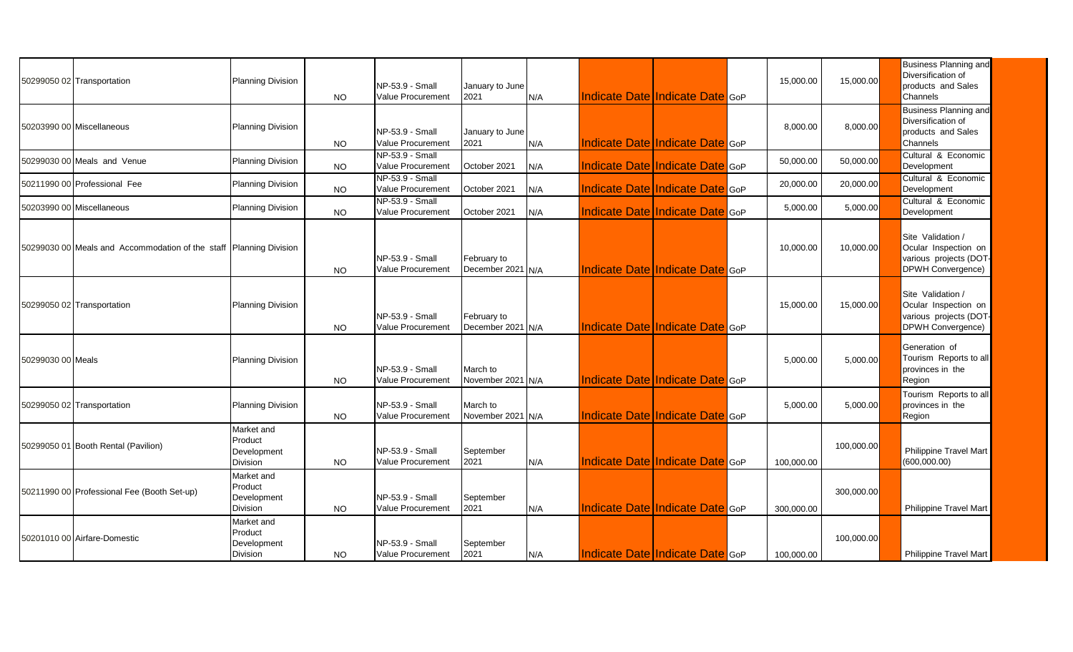|                   | 50299050 02 Transportation                                         | <b>Planning Division</b>                                | <b>NO</b> | NP-53.9 - Small<br>Value Procurement        | January to June<br>2021          | N/A  |                                        | <b>Indicate Date Indicate Date GOP</b> | 15,000.00  | 15,000.00  | <b>Business Planning and</b><br>Diversification of<br>products and Sales<br>Channels     |
|-------------------|--------------------------------------------------------------------|---------------------------------------------------------|-----------|---------------------------------------------|----------------------------------|------|----------------------------------------|----------------------------------------|------------|------------|------------------------------------------------------------------------------------------|
|                   | 50203990 00 Miscellaneous                                          | <b>Planning Division</b>                                | <b>NO</b> | NP-53.9 - Small<br>Value Procurement        | January to June<br>2021          | N/A  |                                        | <b>Indicate Date Indicate Date GOP</b> | 8,000.00   | 8,000.00   | <b>Business Planning and</b><br>Diversification of<br>products and Sales<br>Channels     |
|                   | 50299030 00 Meals and Venue                                        | <b>Planning Division</b>                                | <b>NO</b> | NP-53.9 - Small<br>Value Procurement        | October 2021                     | N/A  |                                        | <b>Indicate Date Indicate Date GOP</b> | 50,000.00  | 50,000.00  | Cultural & Economic<br>Development                                                       |
|                   | 50211990 00 Professional Fee                                       | <b>Planning Division</b>                                | <b>NO</b> | NP-53.9 - Small<br>Value Procurement        | October 2021                     | N/A  | Indicate Date Indicate Date GoP        |                                        | 20,000.00  | 20,000.00  | Cultural & Economic<br>Development                                                       |
|                   | 50203990 00 Miscellaneous                                          | <b>Planning Division</b>                                | <b>NO</b> | NP-53.9 - Small<br>Value Procurement        | October 2021                     | N/A  |                                        | <b>Indicate Date Indicate Date GOP</b> | 5,000.00   | 5,000.00   | Cultural & Economic<br>Development                                                       |
|                   | 50299030 00 Meals and Accommodation of the staff Planning Division |                                                         | <b>NO</b> | NP-53.9 - Small<br><b>Value Procurement</b> | February to<br>December 2021 N/A |      | Indicate Date Indicate Date GoP        |                                        | 10,000.00  | 10,000.00  | Site Validation /<br>Ocular Inspection on<br>various projects (DOT-<br>DPWH Convergence) |
|                   | 50299050 02 Transportation                                         | <b>Planning Division</b>                                | NO.       | NP-53.9 - Small<br><b>Value Procurement</b> | February to<br>December 2021 N/A |      |                                        | <b>Indicate Date Indicate Date GOP</b> | 15,000.00  | 15,000.00  | Site Validation /<br>Ocular Inspection on<br>various projects (DOT-<br>DPWH Convergence) |
| 50299030 00 Meals |                                                                    | <b>Planning Division</b>                                | <b>NO</b> | NP-53.9 - Small<br><b>Value Procurement</b> | March to<br>November 2021 N/A    |      |                                        | <b>Indicate Date Indicate Date GOP</b> | 5,000.00   | 5,000.00   | Generation of<br>Tourism Reports to all<br>provinces in the<br>Region                    |
|                   | 50299050 02 Transportation                                         | <b>Planning Division</b>                                | NO        | NP-53.9 - Small<br>Value Procurement        | March to<br>November 2021 N/A    |      | <b>Indicate Date Indicate Date GOP</b> |                                        | 5,000.00   | 5,000.00   | Tourism Reports to all<br>provinces in the<br>Region                                     |
|                   | 50299050 01 Booth Rental (Pavilion)                                | Market and<br>Product<br>Development<br>Division        | <b>NO</b> | NP-53.9 - Small<br>Value Procurement        | September<br>2021                | N/A  |                                        | Indicate Date Indicate Date GoP        | 100,000.00 | 100,000.00 | <b>Philippine Travel Mart</b><br>(600, 000.00)                                           |
|                   | 50211990 00 Professional Fee (Booth Set-up)                        | Market and<br>Product<br>Development<br><b>Division</b> | <b>NO</b> | NP-53.9 - Small<br>Value Procurement        | September<br>2021                | IN/A |                                        | Indicate Date Indicate Date GoP        | 300.000.00 | 300,000.00 | Philippine Travel Mart                                                                   |
|                   | 50201010 00 Airfare-Domestic                                       | Market and<br>Product<br>Development<br>Division        | <b>NO</b> | NP-53.9 - Small<br>Value Procurement        | September<br>2021                | IN/A | Indicate Date Indicate Date GoP        |                                        | 100,000.00 | 100,000.00 | <b>Philippine Travel Mart</b>                                                            |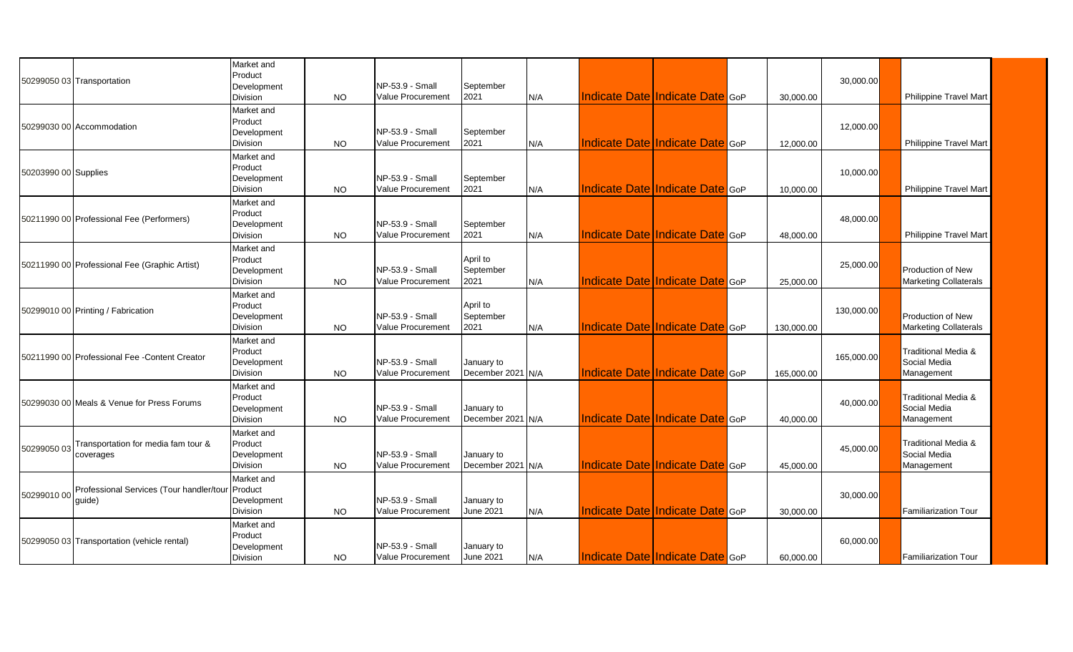|                      | 50299050 03 Transportation                                 | Market and<br>Product<br>Development<br>Division        | <b>NO</b> | NP-53.9 - Small<br>Value Procurement        | September<br>2021               | N/A | Indicate Date Indicate Date GoP        | 30,000.00  | 30,000.00  | <b>Philippine Travel Mart</b>                            |
|----------------------|------------------------------------------------------------|---------------------------------------------------------|-----------|---------------------------------------------|---------------------------------|-----|----------------------------------------|------------|------------|----------------------------------------------------------|
|                      | 50299030 00 Accommodation                                  | Market and<br>Product<br>Development<br>Division        | <b>NO</b> | NP-53.9 - Small<br>Value Procurement        | September<br>2021               | N/A | <b>Indicate Date Indicate Date GOP</b> | 12,000.00  | 12,000.00  | <b>Philippine Travel Mart</b>                            |
| 50203990 00 Supplies |                                                            | Market and<br>Product<br>Development<br>Division        | <b>NO</b> | NP-53.9 - Small<br>Value Procurement        | September<br>2021               | N/A | Indicate Date Indicate Date GoP        | 10,000.00  | 10,000.00  | <b>Philippine Travel Mart</b>                            |
|                      | 50211990 00 Professional Fee (Performers)                  | Market and<br>Product<br>Development<br>Division        | <b>NO</b> | NP-53.9 - Small<br>Value Procurement        | September<br>2021               | N/A | <b>Indicate Date Indicate Date GOP</b> | 48,000.00  | 48,000.00  | <b>Philippine Travel Mart</b>                            |
|                      | 50211990 00 Professional Fee (Graphic Artist)              | Market and<br>Product<br>Development<br>Division        | <b>NO</b> | NP-53.9 - Small<br><b>Value Procurement</b> | April to<br>September<br>2021   | N/A | Indicate Date Indicate Date GoP        | 25,000.00  | 25,000.00  | Production of New<br><b>Marketing Collaterals</b>        |
|                      | 50299010 00 Printing / Fabrication                         | Market and<br>Product<br>Development<br>Division        | <b>NO</b> | NP-53.9 - Small<br><b>Value Procurement</b> | April to<br>September<br>2021   | N/A | Indicate Date Indicate Date GoP        | 130,000.00 | 130,000.00 | <b>Production of New</b><br><b>Marketing Collaterals</b> |
|                      | 50211990 00 Professional Fee - Content Creator             | Market and<br>Product<br>Development<br>Division        | NO.       | NP-53.9 - Small<br>Value Procurement        | January to<br>December 2021 N/A |     | Indicate Date Indicate Date GoP        | 165,000.00 | 165,000.00 | Traditional Media &<br>Social Media<br>Management        |
|                      | 50299030 00 Meals & Venue for Press Forums                 | Market and<br>Product<br>Development<br>Division        | <b>NO</b> | NP-53.9 - Small<br><b>Value Procurement</b> | January to<br>December 2021 N/A |     | <b>Indicate Date Indicate Date GOP</b> | 40,000.00  | 40,000.00  | Traditional Media &<br>Social Media<br>Management        |
| 50299050 03          | Transportation for media fam tour &<br>coverages           | Market and<br>Product<br>Development<br><b>Division</b> | <b>NO</b> | NP-53.9 - Small<br>Value Procurement        | January to<br>December 2021 N/A |     | Indicate Date Indicate Date GoP        | 45,000.00  | 45,000.00  | Traditional Media &<br>Social Media<br>Management        |
| 50299010 00          | Professional Services (Tour handler/tour Product<br>quide) | Market and<br>Development<br>Division                   | <b>NO</b> | NP-53.9 - Small<br><b>Value Procurement</b> | January to<br><b>June 2021</b>  | N/A | Indicate Date Indicate Date GoP        | 30,000.00  | 30,000.00  | <b>Familiarization Tour</b>                              |
|                      | 50299050 03 Transportation (vehicle rental)                | Market and<br>Product<br>Development<br>Division        | NO.       | NP-53.9 - Small<br>Value Procurement        | January to<br><b>June 2021</b>  | N/A | <b>Indicate Date Indicate Date</b> GoP | 60,000.00  | 60,000.00  | <b>Familiarization Tour</b>                              |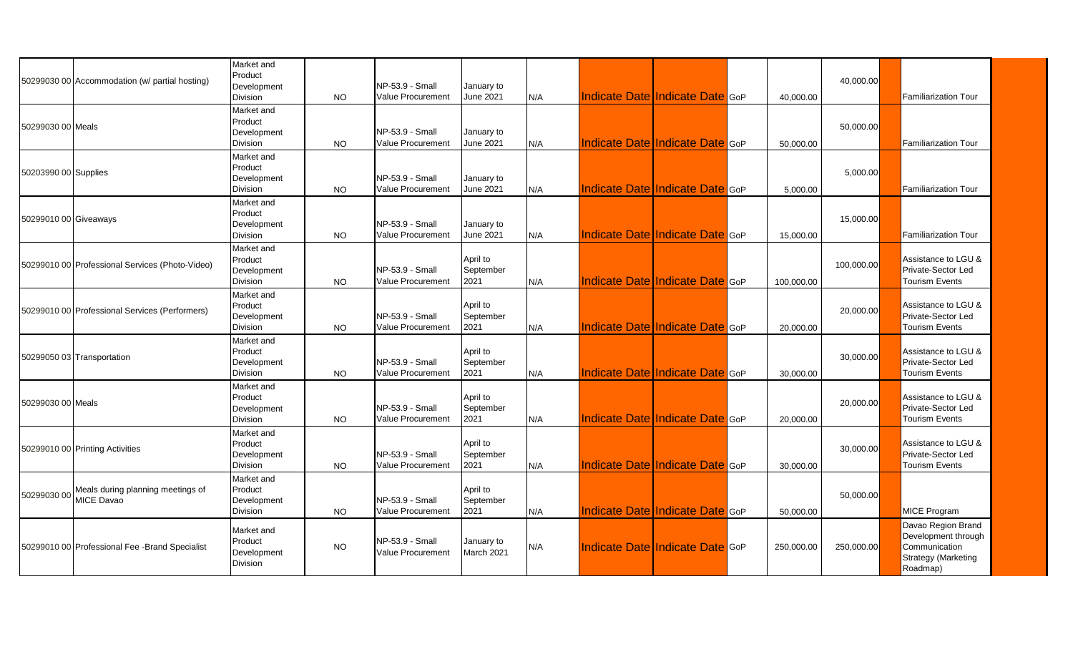|                       | 50299030 00 Accommodation (w/ partial hosting)                     | Market and<br>Product<br>Development<br>Division        | <b>NO</b> | NP-53.9 - Small<br>Value Procurement        | January to<br><b>June 2021</b> | N/A |                                        | Indicate Date Indicate Date GoP        | 40.000.00  | 40,000.00  | <b>Familiarization Tour</b>                                                                          |
|-----------------------|--------------------------------------------------------------------|---------------------------------------------------------|-----------|---------------------------------------------|--------------------------------|-----|----------------------------------------|----------------------------------------|------------|------------|------------------------------------------------------------------------------------------------------|
| 50299030 00 Meals     |                                                                    | Market and<br>Product<br>Development<br><b>Division</b> | <b>NO</b> | NP-53.9 - Small<br><b>Value Procurement</b> | January to<br><b>June 2021</b> | N/A | <b>Indicate Date Indicate Date GOP</b> |                                        | 50,000.00  | 50,000.00  | <b>Familiarization Tour</b>                                                                          |
| 50203990 00 Supplies  |                                                                    | Market and<br>Product<br>Development<br>Division        | <b>NO</b> | NP-53.9 - Small<br><b>Value Procurement</b> | January to<br><b>June 2021</b> | N/A |                                        | <b>Indicate Date Indicate Date GOP</b> | 5,000.00   | 5,000.00   | <b>Familiarization Tour</b>                                                                          |
| 50299010 00 Giveaways |                                                                    | Market and<br>Product<br>Development<br>Division        | <b>NO</b> | NP-53.9 - Small<br><b>Value Procurement</b> | January to<br><b>June 2021</b> | N/A | Indicate Date Indicate Date GoP        |                                        | 15,000.00  | 15,000.00  | <b>Familiarization Tour</b>                                                                          |
|                       | 50299010 00 Professional Services (Photo-Video)                    | Market and<br>Product<br>Development<br>Division        | <b>NO</b> | NP-53.9 - Small<br><b>Value Procurement</b> | April to<br>September<br>2021  | N/A |                                        | <b>Indicate Date Indicate Date GOP</b> | 100.000.00 | 100,000.00 | Assistance to LGU &<br>Private-Sector Led<br><b>Tourism Events</b>                                   |
|                       | 50299010 00 Professional Services (Performers)                     | Market and<br>Product<br>Development<br>Division        | <b>NO</b> | NP-53.9 - Small<br>Value Procurement        | April to<br>September<br>2021  | N/A |                                        | <b>Indicate Date Indicate Date GOP</b> | 20,000.00  | 20,000.00  | Assistance to LGU &<br>Private-Sector Led<br><b>Tourism Events</b>                                   |
|                       | 50299050 03 Transportation                                         | Market and<br>Product<br>Development<br>Division        | <b>NO</b> | NP-53.9 - Small<br>Value Procurement        | April to<br>September<br>2021  | N/A | <b>Indicate Date Indicate Date GOP</b> |                                        | 30,000.00  | 30,000.00  | Assistance to LGU &<br>Private-Sector Led<br><b>Tourism Events</b>                                   |
| 50299030 00 Meals     |                                                                    | Market and<br>Product<br>Development<br><b>Division</b> | <b>NO</b> | NP-53.9 - Small<br>Value Procurement        | April to<br>September<br>2021  | N/A |                                        | <b>Indicate Date Indicate Date GOP</b> | 20.000.00  | 20,000.00  | Assistance to LGU &<br>Private-Sector Led<br><b>Tourism Events</b>                                   |
|                       | 50299010 00 Printing Activities                                    | Market and<br>Product<br>Development<br>Division        | <b>NO</b> | NP-53.9 - Small<br>Value Procurement        | April to<br>September<br>2021  | N/A |                                        | <b>Indicate Date Indicate Date GOP</b> | 30,000.00  | 30,000.00  | Assistance to LGU &<br>Private-Sector Led<br><b>Tourism Events</b>                                   |
|                       | 50299030 00 Meals during planning meetings of<br><b>MICE Davao</b> | Market and<br>Product<br>Development<br>Division        | <b>NO</b> | NP-53.9 - Small<br>Value Procurement        | April to<br>September<br>2021  | N/A |                                        | <b>Indicate Date Indicate Date GoP</b> | 50,000.00  | 50,000.00  | MICE Program                                                                                         |
|                       | 50299010 00 Professional Fee -Brand Specialist                     | Market and<br>Product<br>Development<br>Division        | <b>NO</b> | NP-53.9 - Small<br>Value Procurement        | January to<br>March 2021       | N/A | Indicate Date Indicate Date GoP        |                                        | 250,000.00 | 250.000.00 | Davao Region Brand<br>Development through<br>Communication<br><b>Strategy (Marketing</b><br>Roadmap) |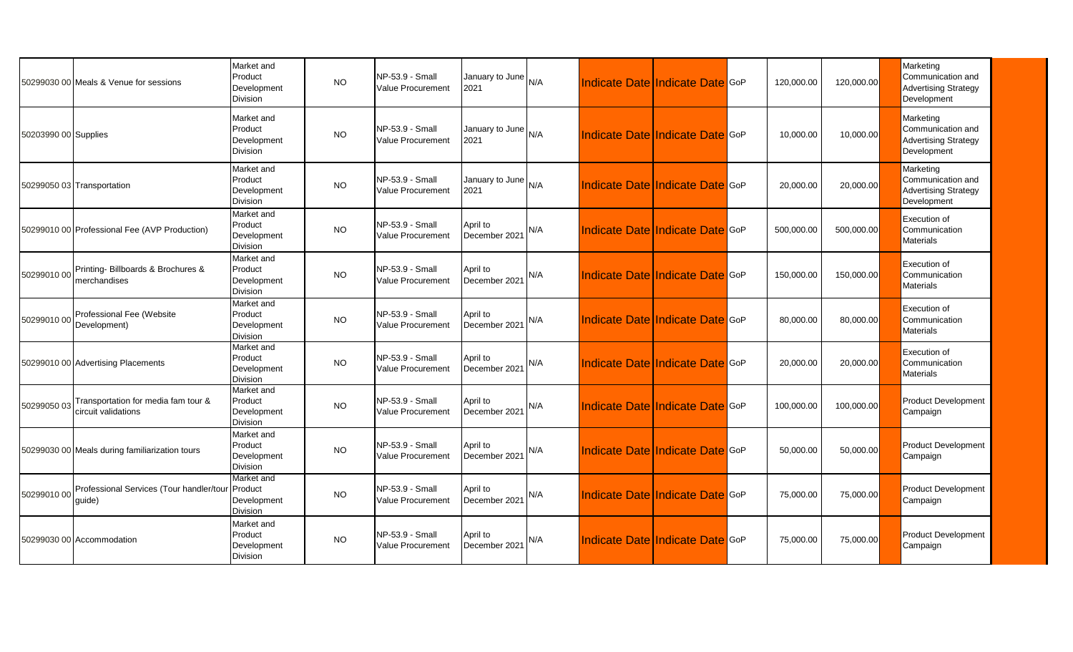|                      | 50299030 00 Meals & Venue for sessions                         | Market and<br>Product<br>Development<br>Division | <b>NO</b> | NP-53.9 - Small<br>Value Procurement        | January to June N/A<br>2021   |     | Indicate Date Indicate Date GoP | 120,000.00 | 120,000.00 | Marketing<br>Communication and<br><b>Advertising Strategy</b><br>Development |
|----------------------|----------------------------------------------------------------|--------------------------------------------------|-----------|---------------------------------------------|-------------------------------|-----|---------------------------------|------------|------------|------------------------------------------------------------------------------|
| 50203990 00 Supplies |                                                                | Market and<br>Product<br>Development<br>Division | <b>NO</b> | NP-53.9 - Small<br><b>Value Procurement</b> | January to June N/A<br>2021   |     | Indicate Date Indicate Date GoP | 10,000.00  | 10,000.00  | Marketing<br>Communication and<br><b>Advertising Strategy</b><br>Development |
|                      | 50299050 03 Transportation                                     | Market and<br>Product<br>Development<br>Division | <b>NO</b> | NP-53.9 - Small<br>Value Procurement        | January to June $N/A$<br>2021 |     | Indicate Date Indicate Date GoP | 20,000.00  | 20,000.00  | Marketing<br>Communication and<br><b>Advertising Strategy</b><br>Development |
|                      | 50299010 00 Professional Fee (AVP Production)                  | Market and<br>Product<br>Development<br>Division | <b>NO</b> | NP-53.9 - Small<br>Value Procurement        | April to<br>December 2021     | N/A | Indicate Date Indicate Date GoP | 500,000.00 | 500,000.00 | Execution of<br>Communication<br><b>Materials</b>                            |
|                      | 50299010 00 Printing- Billboards & Brochures &<br>merchandises | Market and<br>Product<br>Development<br>Division | <b>NO</b> | NP-53.9 - Small<br>Value Procurement        | April to<br>December 2021     | N/A | Indicate Date Indicate Date GoP | 150,000.00 | 150,000.00 | Execution of<br>Communication<br><b>Materials</b>                            |
|                      | Professional Fee (Website<br>50299010 00 Development)          | Market and<br>Product<br>Development<br>Division | <b>NO</b> | NP-53.9 - Small<br><b>Value Procurement</b> | April to<br>December 2021     | N/A | Indicate Date Indicate Date GoP | 80,000.00  | 80,000.00  | Execution of<br>Communication<br><b>Materials</b>                            |
|                      | 50299010 00 Advertising Placements                             | Market and<br>Product<br>Development<br>Division | <b>NO</b> | NP-53.9 - Small<br>Value Procurement        | April to<br>December 2021     | N/A | Indicate Date Indicate Date GoP | 20,000.00  | 20,000.00  | Execution of<br>Communication<br><b>Materials</b>                            |
| 50299050 03          | Transportation for media fam tour &<br>circuit validations     | Market and<br>Product<br>Development<br>Division | <b>NO</b> | NP-53.9 - Small<br>Value Procurement        | April to<br>December 2021     | N/A | Indicate Date Indicate Date GoP | 100,000.00 | 100,000.00 | <b>Product Development</b><br>Campaign                                       |
|                      | 50299030 00 Meals during familiarization tours                 | Market and<br>Product<br>Development<br>Division | <b>NO</b> | NP-53.9 - Small<br>Value Procurement        | April to<br>December 2021     | N/A | Indicate Date Indicate Date GoP | 50,000.00  | 50,000.00  | <b>Product Development</b><br>Campaign                                       |
| 50299010 00          | Professional Services (Tour handler/tour<br>quide)             | Market and<br>Product<br>Development<br>Division | <b>NO</b> | NP-53.9 - Small<br><b>Value Procurement</b> | April to<br>December 2021     | N/A | Indicate Date Indicate Date GoP | 75,000.00  | 75,000.00  | <b>Product Development</b><br>Campaign                                       |
|                      | 50299030 00 Accommodation                                      | Market and<br>Product<br>Development<br>Division | <b>NO</b> | NP-53.9 - Small<br>Value Procurement        | April to<br>December 2021     | N/A | Indicate Date Indicate Date GoP | 75,000.00  | 75,000.00  | <b>Product Development</b><br>Campaign                                       |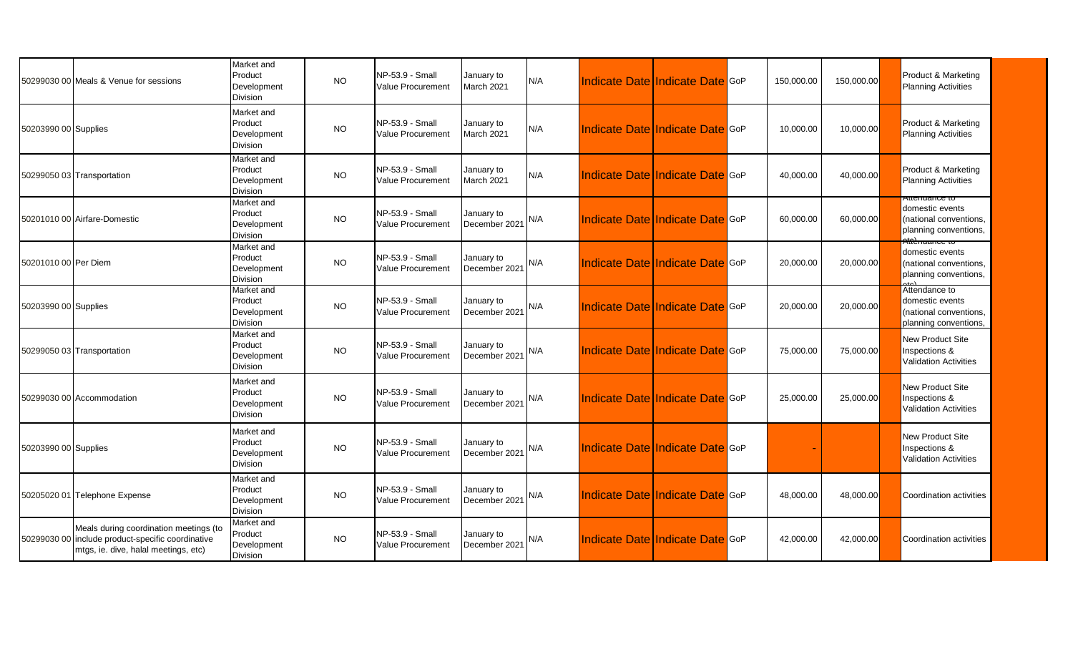|                      | 50299030 00 Meals & Venue for sessions                                                                                  | Market and<br>Product<br>Development<br>Division        | <b>NO</b> | NP-53.9 - Small<br>Value Procurement        | January to<br>March 2021    | IN/A | <b>Indicate Date Indicate Date GOP</b> |  | 150,000.00 | 150,000.00 | Product & Marketing<br><b>Planning Activities</b>                                              |
|----------------------|-------------------------------------------------------------------------------------------------------------------------|---------------------------------------------------------|-----------|---------------------------------------------|-----------------------------|------|----------------------------------------|--|------------|------------|------------------------------------------------------------------------------------------------|
| 50203990 00 Supplies |                                                                                                                         | Market and<br>Product<br>Development<br><b>Division</b> | <b>NO</b> | NP-53.9 - Small<br><b>Value Procurement</b> | January to<br>March 2021    | IN/A | Indicate Date Indicate Date GoP        |  | 10,000.00  | 10,000.00  | Product & Marketing<br><b>Planning Activities</b>                                              |
|                      | 50299050 03 Transportation                                                                                              | Market and<br>Product<br>Development<br>Division        | <b>NO</b> | NP-53.9 - Small<br>Value Procurement        | January to<br>March 2021    | IN/A | Indicate Date Indicate Date GoP        |  | 40,000.00  | 40,000.00  | Product & Marketing<br><b>Planning Activities</b>                                              |
|                      | 50201010 00 Airfare-Domestic                                                                                            | Market and<br>Product<br>Development<br><b>Division</b> | <b>NO</b> | NP-53.9 - Small<br>Value Procurement        | January to<br>December 2021 | N/A  | Indicate Date Indicate Date GoP        |  | 60,000.00  | 60,000.00  | <del>Attenuance to</del><br>domestic events<br>(national conventions,<br>planning conventions, |
| 50201010 00 Per Diem |                                                                                                                         | Market and<br>Product<br>Development<br>Division        | <b>NO</b> | NP-53.9 - Small<br><b>Value Procurement</b> | January to<br>December 2021 | N/A  | Indicate Date Indicate Date GoP        |  | 20,000.00  | 20,000.00  | domestic events<br>(national conventions,<br>planning conventions.                             |
| 50203990 00 Supplies |                                                                                                                         | Market and<br>Product<br>Development<br><b>Division</b> | <b>NO</b> | NP-53.9 - Small<br>Value Procurement        | January to<br>December 2021 | N/A  | Indicate Date Indicate Date GoP        |  | 20,000.00  | 20,000.00  | Attendance to<br>domestic events<br>(national conventions,<br>planning conventions,            |
|                      | 50299050 03 Transportation                                                                                              | Market and<br>Product<br>Development<br>Division        | <b>NO</b> | NP-53.9 - Small<br>Value Procurement        | January to<br>December 2021 | N/A  | Indicate Date Indicate Date GoP        |  | 75,000.00  | 75,000.00  | New Product Site<br>Inspections &<br><b>Validation Activities</b>                              |
|                      | 50299030 00 Accommodation                                                                                               | Market and<br>Product<br>Development<br><b>Division</b> | <b>NO</b> | NP-53.9 - Small<br>Value Procurement        | January to<br>December 2021 | N/A  | Indicate Date Indicate Date GoP        |  | 25,000.00  | 25,000.00  | New Product Site<br>Inspections &<br><b>Validation Activities</b>                              |
| 50203990 00 Supplies |                                                                                                                         | Market and<br>Product<br>Development<br><b>Division</b> | <b>NO</b> | NP-53.9 - Small<br>Value Procurement        | January to<br>December 2021 | N/A  | Indicate Date Indicate Date GoP        |  |            |            | New Product Site<br>Inspections &<br><b>Validation Activities</b>                              |
|                      | 50205020 01 Telephone Expense                                                                                           | Market and<br>Product<br>Development<br><b>Division</b> | <b>NO</b> | <b>NP-53.9 - Small</b><br>Value Procurement | January to<br>December 2021 | N/A  | Indicate Date Indicate Date GoP        |  | 48,000.00  | 48,000.00  | Coordination activities                                                                        |
| 50299030 00          | Meals during coordination meetings (to<br>include product-specific coordinative<br>mtgs, ie. dive, halal meetings, etc) | Market and<br>Product<br>Development<br>Division        | <b>NO</b> | NP-53.9 - Small<br><b>Value Procurement</b> | January to<br>December 2021 | N/A  | Indicate Date Indicate Date GoP        |  | 42,000.00  | 42,000.00  | Coordination activities                                                                        |